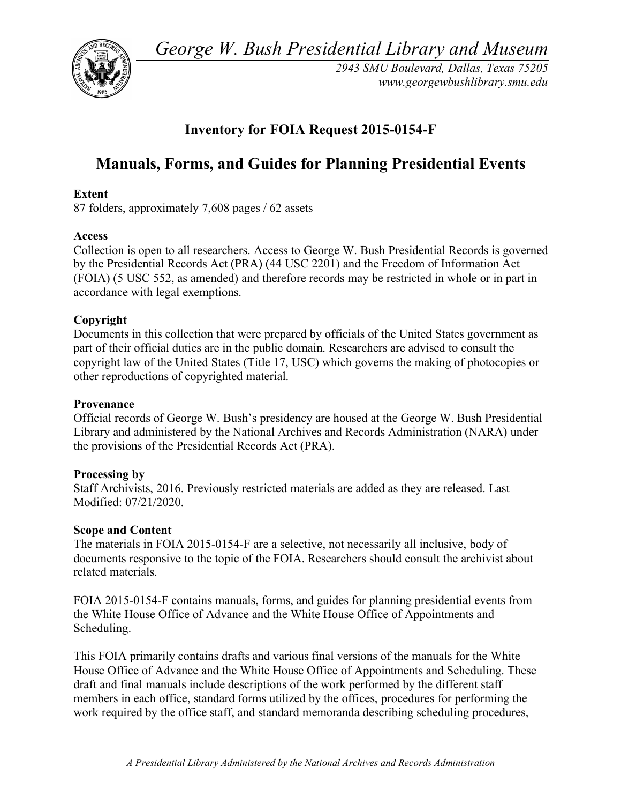*George W. Bush Presidential Library and Museum* 



 *2943 SMU Boulevard, Dallas, Texas 75205 <www.georgewbushlibrary.smu.edu>* 

## **Inventory for FOIA Request 2015-0154-F**

# **Manuals, Forms, and Guides for Planning Presidential Events**

## **Extent**

87 folders, approximately 7,608 pages / 62 assets

## **Access**

 Collection is open to all researchers. Access to George W. Bush Presidential Records is governed by the Presidential Records Act (PRA) (44 USC 2201) and the Freedom of Information Act (FOIA) (5 USC 552, as amended) and therefore records may be restricted in whole or in part in accordance with legal exemptions.

## **Copyright**

 Documents in this collection that were prepared by officials of the United States government as part of their official duties are in the public domain. Researchers are advised to consult the copyright law of the United States (Title 17, USC) which governs the making of photocopies or other reproductions of copyrighted material.

## **Provenance**

 Official records of George W. Bush's presidency are housed at the George W. Bush Presidential Library and administered by the National Archives and Records Administration (NARA) under the provisions of the Presidential Records Act (PRA).

## **Processing by**

 Staff Archivists, 2016. Previously restricted materials are added as they are released. Last Modified: 07/21/2020.

## **Scope and Content**

 The materials in FOIA 2015-0154-F are a selective, not necessarily all inclusive, body of documents responsive to the topic of the FOIA. Researchers should consult the archivist about related materials.

 FOIA 2015-0154-F contains manuals, forms, and guides for planning presidential events from the White House Office of Advance and the White House Office of Appointments and Scheduling.

 This FOIA primarily contains drafts and various final versions of the manuals for the White House Office of Advance and the White House Office of Appointments and Scheduling. These draft and final manuals include descriptions of the work performed by the different staff members in each office, standard forms utilized by the offices, procedures for performing the work required by the office staff, and standard memoranda describing scheduling procedures,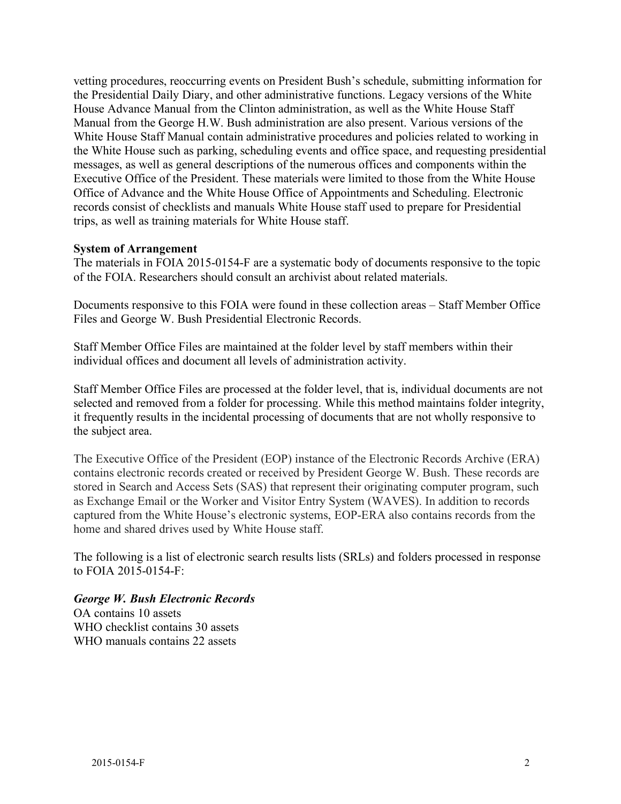vetting procedures, reoccurring events on President Bush's schedule, submitting information for the Presidential Daily Diary, and other administrative functions. Legacy versions of the White House Advance Manual from the Clinton administration, as well as the White House Staff Manual from the George H.W. Bush administration are also present. Various versions of the White House Staff Manual contain administrative procedures and policies related to working in the White House such as parking, scheduling events and office space, and requesting presidential messages, as well as general descriptions of the numerous offices and components within the Executive Office of the President. These materials were limited to those from the White House Office of Advance and the White House Office of Appointments and Scheduling. Electronic records consist of checklists and manuals White House staff used to prepare for Presidential trips, as well as training materials for White House staff.

### **System of Arrangement**

 The materials in FOIA 2015-0154-F are a systematic body of documents responsive to the topic of the FOIA. Researchers should consult an archivist about related materials.

 Documents responsive to this FOIA were found in these collection areas – Staff Member Office Files and George W. Bush Presidential Electronic Records.

 Staff Member Office Files are maintained at the folder level by staff members within their individual offices and document all levels of administration activity.

 Staff Member Office Files are processed at the folder level, that is, individual documents are not selected and removed from a folder for processing. While this method maintains folder integrity, it frequently results in the incidental processing of documents that are not wholly responsive to the subject area.

 The Executive Office of the President (EOP) instance of the Electronic Records Archive (ERA) contains electronic records created or received by President George W. Bush. These records are stored in Search and Access Sets (SAS) that represent their originating computer program, such as Exchange Email or the Worker and Visitor Entry System (WAVES). In addition to records captured from the White House's electronic systems, EOP-ERA also contains records from the home and shared drives used by White House staff.

 The following is a list of electronic search results lists (SRLs) and folders processed in response to FOIA 2015-0154-F:

## *George W. Bush Electronic Records*

 OA contains 10 assets WHO checklist contains 30 assets WHO manuals contains 22 assets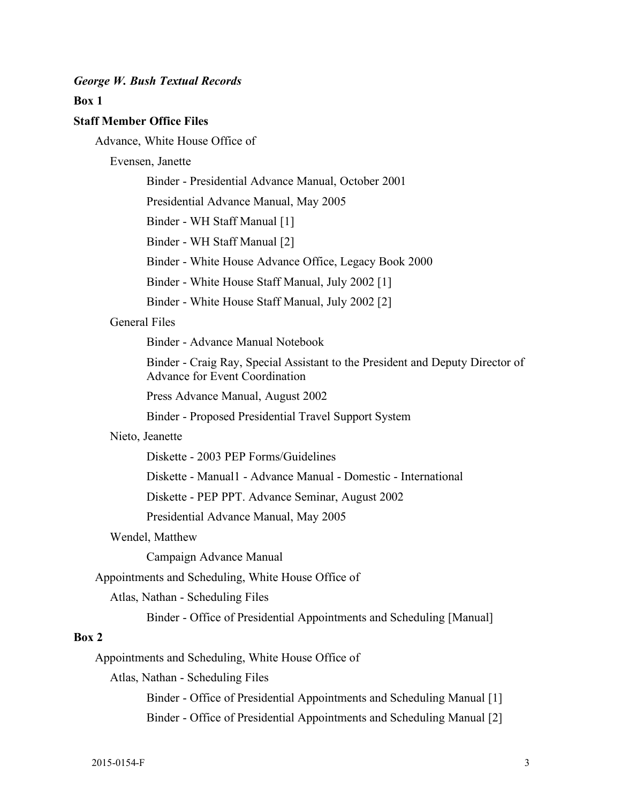#### *George W. Bush Textual Records*

#### **Box 1**

#### **Staff Member Office Files**

Advance, White House Office of

#### Evensen, Janette

Binder - Presidential Advance Manual, October 2001

Presidential Advance Manual, May 2005

Binder - WH Staff Manual [1]

Binder - WH Staff Manual [2]

Binder - White House Advance Office, Legacy Book 2000

Binder - White House Staff Manual, July 2002 [1]

Binder - White House Staff Manual, July 2002 [2]

#### General Files

Binder - Advance Manual Notebook

 Advance for Event Coordination Binder - Craig Ray, Special Assistant to the President and Deputy Director of

Press Advance Manual, August 2002

Binder - Proposed Presidential Travel Support System

#### Nieto, Jeanette

Diskette - 2003 PEP Forms/Guidelines

Diskette - Manual1 - Advance Manual - Domestic - International

Diskette - PEP PPT. Advance Seminar, August 2002

Presidential Advance Manual, May 2005

#### Wendel, Matthew

Campaign Advance Manual

Appointments and Scheduling, White House Office of

Atlas, Nathan - Scheduling Files

Binder - Office of Presidential Appointments and Scheduling [Manual]

## **Box 2**

Appointments and Scheduling, White House Office of

Atlas, Nathan - Scheduling Files

Binder - Office of Presidential Appointments and Scheduling Manual [1] Binder - Office of Presidential Appointments and Scheduling Manual [2]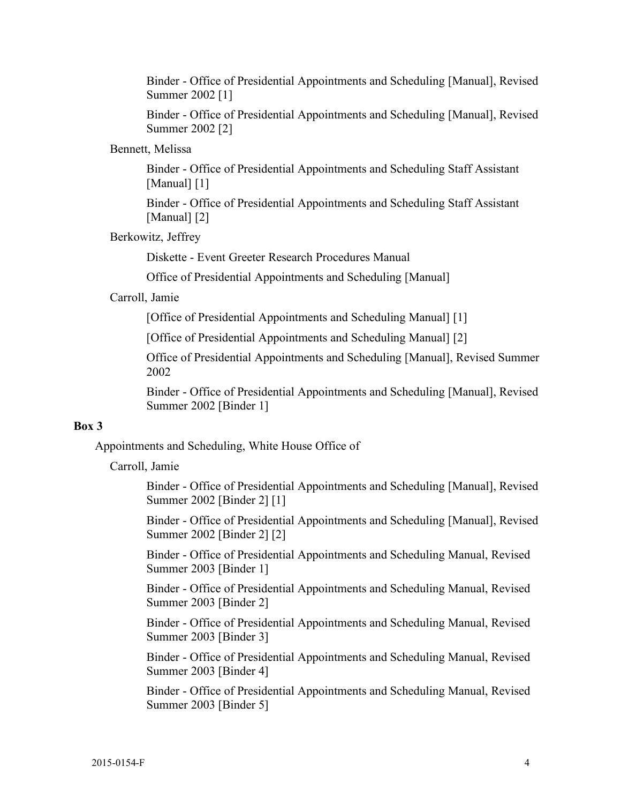Binder - Office of Presidential Appointments and Scheduling [Manual], Revised Summer 2002 [1]

 Binder - Office of Presidential Appointments and Scheduling [Manual], Revised Summer 2002 [2]

#### Bennett, Melissa

 Binder - Office of Presidential Appointments and Scheduling Staff Assistant [Manual] [1]

 Binder - Office of Presidential Appointments and Scheduling Staff Assistant [Manual] [2]

Berkowitz, Jeffrey

Diskette - Event Greeter Research Procedures Manual

Office of Presidential Appointments and Scheduling [Manual]

#### Carroll, Jamie

[Office of Presidential Appointments and Scheduling Manual] [1]

[Office of Presidential Appointments and Scheduling Manual] [2]

 Office of Presidential Appointments and Scheduling [Manual], Revised Summer 2002

 Binder - Office of Presidential Appointments and Scheduling [Manual], Revised Summer 2002 [Binder 1]

## **Box 3**

Appointments and Scheduling, White House Office of

Carroll, Jamie

 Binder - Office of Presidential Appointments and Scheduling [Manual], Revised Summer 2002 [Binder 2] [1]

 Binder - Office of Presidential Appointments and Scheduling [Manual], Revised Summer 2002 [Binder 2] [2]

 Binder - Office of Presidential Appointments and Scheduling Manual, Revised Summer 2003 [Binder 1]

 Binder - Office of Presidential Appointments and Scheduling Manual, Revised Summer 2003 [Binder 2]

 Binder - Office of Presidential Appointments and Scheduling Manual, Revised Summer 2003 [Binder 3]

 Binder - Office of Presidential Appointments and Scheduling Manual, Revised Summer 2003 [Binder 4]

 Binder - Office of Presidential Appointments and Scheduling Manual, Revised Summer 2003 [Binder 5]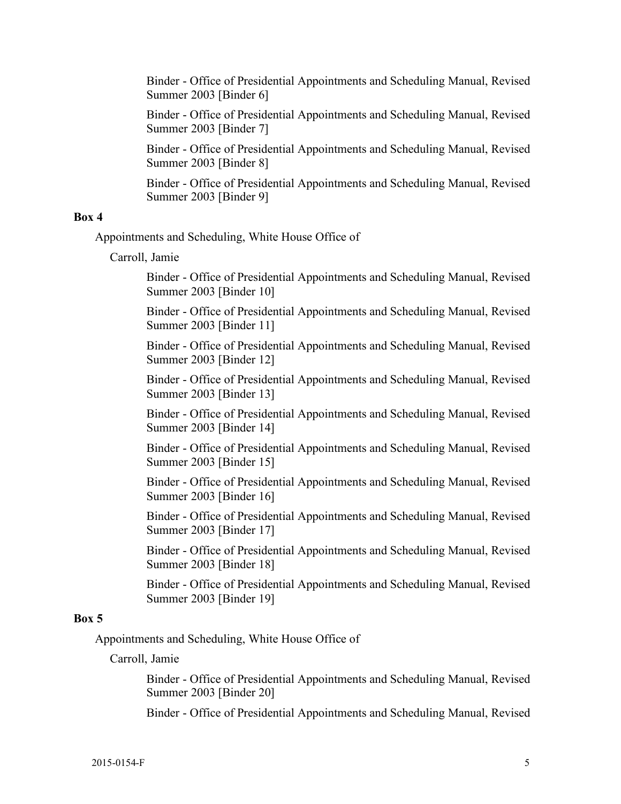Binder - Office of Presidential Appointments and Scheduling Manual, Revised Summer 2003 [Binder 6]

 Binder - Office of Presidential Appointments and Scheduling Manual, Revised Summer 2003 [Binder 7]

 Binder - Office of Presidential Appointments and Scheduling Manual, Revised Summer 2003 [Binder 8]

 Binder - Office of Presidential Appointments and Scheduling Manual, Revised Summer 2003 [Binder 9]

#### **Box 4**

Appointments and Scheduling, White House Office of

Carroll, Jamie

 Binder - Office of Presidential Appointments and Scheduling Manual, Revised Summer 2003 [Binder 10]

 Binder - Office of Presidential Appointments and Scheduling Manual, Revised Summer 2003 [Binder 11]

 Binder - Office of Presidential Appointments and Scheduling Manual, Revised Summer 2003 [Binder 12]

 Binder - Office of Presidential Appointments and Scheduling Manual, Revised Summer 2003 [Binder 13]

 Binder - Office of Presidential Appointments and Scheduling Manual, Revised Summer 2003 [Binder 14]

 Binder - Office of Presidential Appointments and Scheduling Manual, Revised Summer 2003 [Binder 15]

 Binder - Office of Presidential Appointments and Scheduling Manual, Revised Summer 2003 [Binder 16]

 Binder - Office of Presidential Appointments and Scheduling Manual, Revised Summer 2003 [Binder 17]

 Binder - Office of Presidential Appointments and Scheduling Manual, Revised Summer 2003 [Binder 18]

 Binder - Office of Presidential Appointments and Scheduling Manual, Revised Summer 2003 [Binder 19]

#### **Box 5**

Appointments and Scheduling, White House Office of

Carroll, Jamie

 Binder - Office of Presidential Appointments and Scheduling Manual, Revised Summer 2003 [Binder 20]

Binder - Office of Presidential Appointments and Scheduling Manual, Revised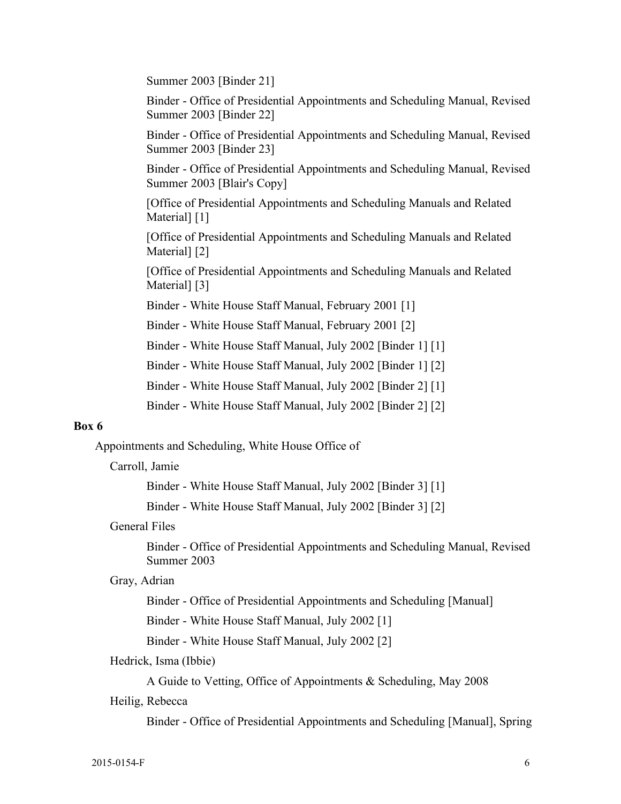Summer 2003 [Binder 21]

 Binder - Office of Presidential Appointments and Scheduling Manual, Revised Summer 2003 [Binder 22]

 Binder - Office of Presidential Appointments and Scheduling Manual, Revised Summer 2003 [Binder 23]

 Summer 2003 [Blair's Copy] Binder - Office of Presidential Appointments and Scheduling Manual, Revised

 [Office of Presidential Appointments and Scheduling Manuals and Related Material] [1]

 [Office of Presidential Appointments and Scheduling Manuals and Related Material] [2]

 [Office of Presidential Appointments and Scheduling Manuals and Related Material] [3]

Binder - White House Staff Manual, February 2001 [1]

Binder - White House Staff Manual, February 2001 [2]

Binder - White House Staff Manual, July 2002 [Binder 1] [1]

Binder - White House Staff Manual, July 2002 [Binder 1] [2]

Binder - White House Staff Manual, July 2002 [Binder 2] [1]

Binder - White House Staff Manual, July 2002 [Binder 2] [2]

## **Box 6**

Appointments and Scheduling, White House Office of

#### Carroll, Jamie

Binder - White House Staff Manual, July 2002 [Binder 3] [1]

Binder - White House Staff Manual, July 2002 [Binder 3] [2]

### General Files

Binder - Office of Presidential Appointments and Scheduling Manual, Revised Summer 2003

#### Gray, Adrian

Binder - Office of Presidential Appointments and Scheduling [Manual]

Binder - White House Staff Manual, July 2002 [1]

Binder - White House Staff Manual, July 2002 [2]

#### Hedrick, Isma (Ibbie)

A Guide to Vetting, Office of Appointments & Scheduling, May 2008

#### Heilig, Rebecca

Binder - Office of Presidential Appointments and Scheduling [Manual], Spring